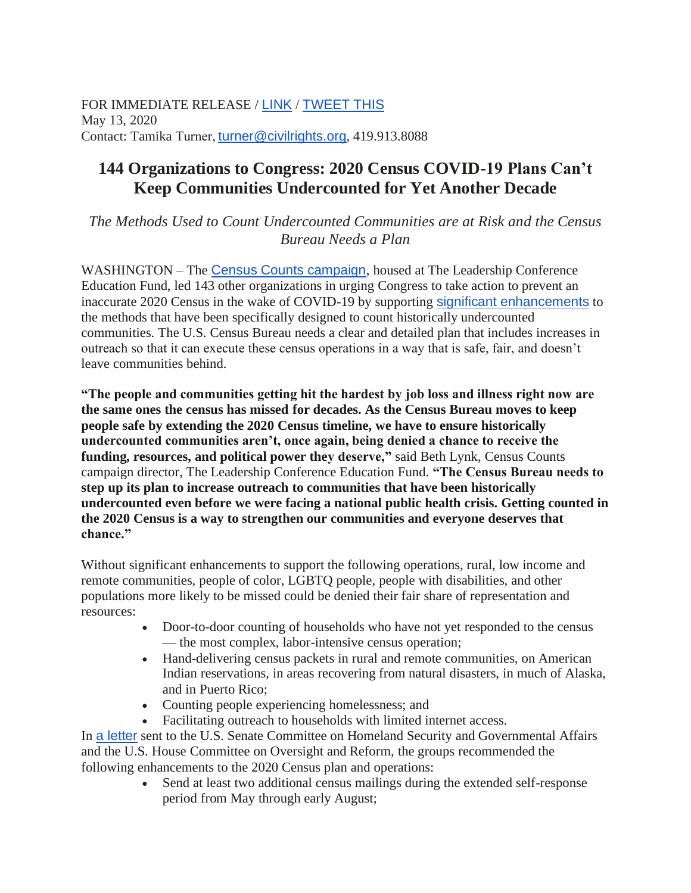FOR IMMEDIATE RELEASE / [LINK](https://u7061146.ct.sendgrid.net/ls/click?upn=4tNED-2FM8iDZJQyQ53jATUVKmrRvyKtYUvSINlfmkYYkRUDf8J9LVfyxsO8xjdD3-2FpWVsLZF8nSN1DFJcv759po5RnnCG0SPJz4Kun4dQejEYFUWBOgNL18GPiL-2FdcT2eVJN09DDfa9V29jWgAKjYv9xHCazrfIYh2-2B2wF9eeMNMpKaZV83R8ZuxZfszeX9c7SbNwK046CKdSASlmR-2FJq7fbqIYvpQWeRcbQ5AKyP7kA-3DzPHC_yvO5we8kDceLgVFvgaysyEjaHmbYgZSfT-2BLL8JUJxivaCtfNXT3RfrlwEcKW-2B7H2AUWwJsJnYg2PGkYKHST9ejVljLUKaw8j842L-2FqgBJKuu04dWfz22siXpsH72CrUca7D83sTezc4JYqKqnJKBqOOv71AR3sQ93-2BHJt0Q2I-2Bt9nvtKnRXg6FDnvNGE5WG9A9aBObT1u1qFuK2McxPSYnhuFcBqQ3CbaLC7cr2R-2BNzmJQm9COL2onHlr9mIY4JvihY19klHAjCwmvIcrtF7kG7dIRj17qJxvf-2FWwWNkJnbkLrLqCJyOPqMC-2BaCd62WXWAb85iaoi-2F4KSox-2FHzlD-2FD6hmQQubvA4N6ARHdOdu8rHzHcsPIis-2FJBOWMDd0Twn) / [TWEET THIS](https://u7061146.ct.sendgrid.net/ls/click?upn=4tNED-2FM8iDZJQyQ53jATUYHKow2c0h8NR81Z5WCoog28lniBVSvjchIg1dKgTp0OkIiB8B7BNEjuWcq1n590wgc0SjEH8y6jm8ufm6S1yvW0D7aBl1jjWaaRgriwgRUPU5n1zZrB4gvPJ1QxYPRXImTlMtXnuS-2F82y-2FGPbAE7rbvrj24xEBCIrck6bxOur7W7d-2Ft5-2FIh5GwQ4mMZlj1c6mswoLdNJ2-2B9n9qGlCYn-2Fw4HriqRaN5k-2BAKgWUZtzGk0FvKLroVu4F1yIHkQ3Mynhzz4Vsq4aKAuz0scpyP0uVTbVaqdKMvlRYmKH-2B58wFsNfJaKdR0jSJs9aJPm5Er6V9qfa4Q4zpd3GDaYRYFcqZo709TJ8u8FoGYXhzH2AyLqcvLnqGR02oJxx7jzTORKSveqIe2lw49oBnfq5v7UD7YmGAspeC3slE1G0LrgNUb-2FjQY0kl83TqZL927RKEhycg-3D-3Dxrtq_yvO5we8kDceLgVFvgaysyEjaHmbYgZSfT-2BLL8JUJxivaCtfNXT3RfrlwEcKW-2B7H2AUWwJsJnYg2PGkYKHST9ejVljLUKaw8j842L-2FqgBJKuu04dWfz22siXpsH72CrUca7D83sTezc4JYqKqnJKBqOOv71AR3sQ93-2BHJt0Q2I-2Bt9nvtKnRXg6FDnvNGE5WG9A9aBObT1u1qFuK2McxPSYnhuFcBqQ3CbaLC7cr2R-2BNxgW1MPKclyKlV5gumVa1W0KszgPyFZVUbbRXI50q8iv7uQBMdI3Q-2BGQ-2BEvp1Vzpw6qAwH2mRs11E05kNwTGF1sAEr4tre8P9GpE7PjSe367wIWOZSq6ge6zIQiqWCDr4DmHYMx0NIuDizsPmUpbzGZ) May 13, 2020 Contact: Tamika Turner, [turner@civilrights.org](mailto:turner@civilrights.org), 419.913.8088

## **144 Organizations to Congress: 2020 Census COVID-19 Plans Can't Keep Communities Undercounted for Yet Another Decade**

*The Methods Used to Count Undercounted Communities are at Risk and the Census Bureau Needs a Plan*

WASHINGTON – The [Census Counts campaign](https://u7061146.ct.sendgrid.net/ls/click?upn=4tNED-2FM8iDZJQyQ53jATUS25c4dMWAhzgIqiaPg-2FkcDC-2F2AL9xq-2FrWAU3XD2ackUf-HU_yvO5we8kDceLgVFvgaysyEjaHmbYgZSfT-2BLL8JUJxivaCtfNXT3RfrlwEcKW-2B7H2AUWwJsJnYg2PGkYKHST9ejVljLUKaw8j842L-2FqgBJKuu04dWfz22siXpsH72CrUca7D83sTezc4JYqKqnJKBqOOv71AR3sQ93-2BHJt0Q2I-2Bt9nvtKnRXg6FDnvNGE5WG9A9aBObT1u1qFuK2McxPSYnhuFcBqQ3CbaLC7cr2R-2BNyG3vOny-2BYx-2FdI4DIkvtfRYkE35IDY1GAcNywQWRBd-2FZHbmoTtA4Ymj4VDUKvlOaueHmyzqiF1NsQMF04Uel6HDL96AqDzj4qIq9s1scaaTa3GN1Q-2FeNG0d6s-2BzzO9dV-2FgiPIrpKPl7CE19nY0LwlL2), housed at The Leadership Conference Education Fund, led 143 other organizations in urging Congress to take action to prevent an inaccurate 2020 Census in the wake of COVID-19 by supporting [significant enhancements](https://u7061146.ct.sendgrid.net/ls/click?upn=4tNED-2FM8iDZJQyQ53jATUVKmrRvyKtYUvSINlfmkYYnjhGIRx5DQfUgcl-2B6D4QehR0AyIMAxLZ-2BM2ca22zbOwN2xx5FA8b1iqd3R6ZRSXEzOqySU-2B0jyqZ5QdHTCZ-2Bcvjmtw_yvO5we8kDceLgVFvgaysyEjaHmbYgZSfT-2BLL8JUJxivaCtfNXT3RfrlwEcKW-2B7H2AUWwJsJnYg2PGkYKHST9ejVljLUKaw8j842L-2FqgBJKuu04dWfz22siXpsH72CrUca7D83sTezc4JYqKqnJKBqOOv71AR3sQ93-2BHJt0Q2I-2Bt9nvtKnRXg6FDnvNGE5WG9A9aBObT1u1qFuK2McxPSYnhuFcBqQ3CbaLC7cr2R-2BNzGULR8CgGE-2F9t7Hs0EEJsMK261cdEyVDrddHAWy-2BgIFa87B6in93p0p8c5O4WEuqwR4QYA0qQOn0Hvlhb6LBKxGC-2FZlr-2FO90-2FknwX0M-2BIu-2BH8vat-2FxD68Skb1yZ2k25bkcxxFCi1sn-2B6APv9H0tznV) to the methods that have been specifically designed to count historically undercounted communities. The U.S. Census Bureau needs a clear and detailed plan that includes increases in outreach so that it can execute these census operations in a way that is safe, fair, and doesn't leave communities behind.

**"The people and communities getting hit the hardest by job loss and illness right now are the same ones the census has missed for decades. As the Census Bureau moves to keep people safe by extending the 2020 Census timeline, we have to ensure historically undercounted communities aren't, once again, being denied a chance to receive the funding, resources, and political power they deserve,"** said Beth Lynk, Census Counts campaign director, The Leadership Conference Education Fund. **"The Census Bureau needs to step up its plan to increase outreach to communities that have been historically undercounted even before we were facing a national public health crisis. Getting counted in the 2020 Census is a way to strengthen our communities and everyone deserves that chance."**

Without significant enhancements to support the following operations, rural, low income and remote communities, people of color, LGBTQ people, people with disabilities, and other populations more likely to be missed could be denied their fair share of representation and resources:

- Door-to-door counting of households who have not yet responded to the census — the most complex, labor-intensive census operation;
- Hand-delivering census packets in rural and remote communities, on American Indian reservations, in areas recovering from natural disasters, in much of Alaska, and in Puerto Rico;
- Counting people experiencing homelessness; and
- Facilitating outreach to households with limited internet access.

In [a letter](https://u7061146.ct.sendgrid.net/ls/click?upn=4tNED-2FM8iDZJQyQ53jATUeQpZKj-2FleAQkDtOj1ImourVylyok6Ajyl9SRSbSa7R0DCYgKFzuxxASU1vdizyfZPXH-2F6wfwjALNHlVtSChvG-2B-2Bj1Hj0oIO1Nry9HDfVw4WACa9t0OQV5p-2FK6gDl1ZQDa1I462QEzok8nl1ASeNQCpaliOdHFajQYjTmSRiha4gVuDAAcnf-2F7gtzmN3CwTy-2BENy6vlmXgvKJD5DKGQ4FSSV0MLBeqe5somvvJt9uEJQ-2BIVBXJYYw4LT02-2FSkkLpAQ-3D-3D0rM8_yvO5we8kDceLgVFvgaysyEjaHmbYgZSfT-2BLL8JUJxivaCtfNXT3RfrlwEcKW-2B7H2AUWwJsJnYg2PGkYKHST9ejVljLUKaw8j842L-2FqgBJKuu04dWfz22siXpsH72CrUca7D83sTezc4JYqKqnJKBqOOv71AR3sQ93-2BHJt0Q2I-2Bt9nvtKnRXg6FDnvNGE5WG9A9aBObT1u1qFuK2McxPSYnhuFcBqQ3CbaLC7cr2R-2BNz0QbYEl0vo-2Fpcm2-2FOVYpjyJ-2BS0-2FOHOm7Ob9vj89L-2BpUbW9Nd4DbvU4ABJUkuZkpOkCJ1hjcvaQ9NV0DbvtcIOWs-2Fi8gChE-2FYeyaNdvMFwTPPWJJPrMJcUlDNwVrN7aFXfTkGKvlRitIQrm-2F-2FmkPTaR) sent to the U.S. Senate Committee on Homeland Security and Governmental Affairs and the U.S. House Committee on Oversight and Reform, the groups recommended the following enhancements to the 2020 Census plan and operations:

• Send at least two additional census mailings during the extended self-response period from May through early August;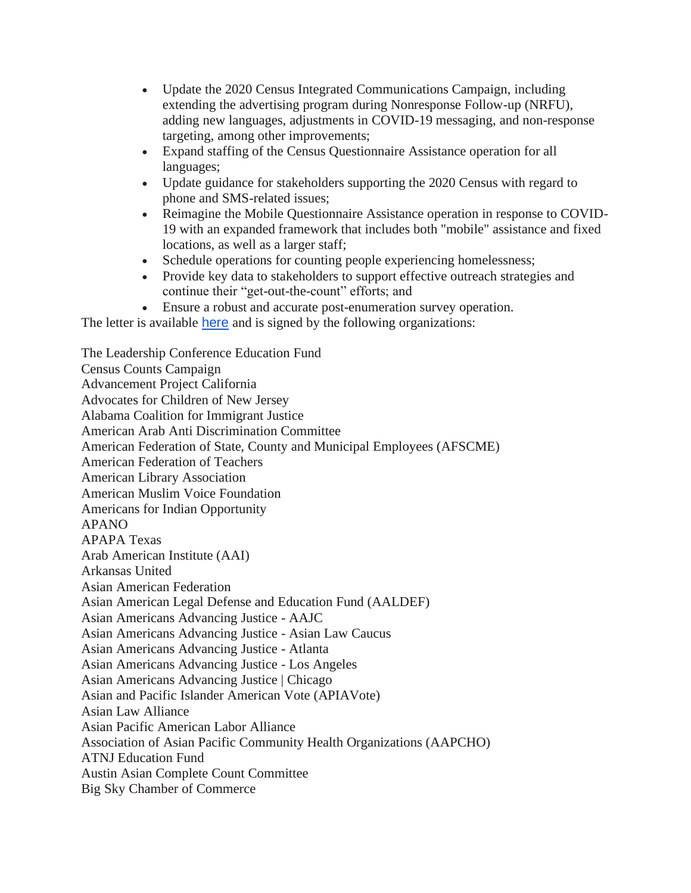- Update the 2020 Census Integrated Communications Campaign, including extending the advertising program during Nonresponse Follow-up (NRFU), adding new languages, adjustments in COVID-19 messaging, and non-response targeting, among other improvements;
- Expand staffing of the Census Questionnaire Assistance operation for all languages;
- Update guidance for stakeholders supporting the 2020 Census with regard to phone and SMS-related issues;
- Reimagine the Mobile Questionnaire Assistance operation in response to COVID-19 with an expanded framework that includes both "mobile" assistance and fixed locations, as well as a larger staff;
- Schedule operations for counting people experiencing homelessness;
- Provide key data to stakeholders to support effective outreach strategies and continue their "get-out-the-count" efforts; and
- Ensure a robust and accurate post-enumeration survey operation.

The letter is available [here](https://u7061146.ct.sendgrid.net/ls/click?upn=4tNED-2FM8iDZJQyQ53jATUeQpZKj-2FleAQkDtOj1ImourVylyok6Ajyl9SRSbSa7R0DCYgKFzuxxASU1vdizyfZPXH-2F6wfwjALNHlVtSChvG-2B-2Bj1Hj0oIO1Nry9HDfVw4WACa9t0OQV5p-2FK6gDl1ZQDa1I462QEzok8nl1ASeNQCpaliOdHFajQYjTmSRiha4gVuDAAcnf-2F7gtzmN3CwTy-2BENy6vlmXgvKJD5DKGQ4FSSV0MLBeqe5somvvJt9uEJQ-2BIVBXJYYw4LT02-2FSkkLpAQ-3D-3Dwmt-_yvO5we8kDceLgVFvgaysyEjaHmbYgZSfT-2BLL8JUJxivaCtfNXT3RfrlwEcKW-2B7H2AUWwJsJnYg2PGkYKHST9ejVljLUKaw8j842L-2FqgBJKuu04dWfz22siXpsH72CrUca7D83sTezc4JYqKqnJKBqOOv71AR3sQ93-2BHJt0Q2I-2Bt9nvtKnRXg6FDnvNGE5WG9A9aBObT1u1qFuK2McxPSYnhuFcBqQ3CbaLC7cr2R-2BNz2H1OYt9OwZMmAJPpAYXV0LA5p-2FM3MrlIJJT-2FPu91LmlbS9ofUCveC0jnDKF7a7nwhOLaWcwhTxZ6V-2F1GrlXyKa-2B9Zoj0mCOs8lXCeWNmedLp6EOSHWQCvBOzv3TenjdSh03RCB-2BWoJwXl8oB-2BlNoE) and is signed by the following organizations:

The Leadership Conference Education Fund Census Counts Campaign Advancement Project California Advocates for Children of New Jersey Alabama Coalition for Immigrant Justice American Arab Anti Discrimination Committee American Federation of State, County and Municipal Employees (AFSCME) American Federation of Teachers American Library Association American Muslim Voice Foundation Americans for Indian Opportunity APANO APAPA Texas Arab American Institute (AAI) Arkansas United Asian American Federation Asian American Legal Defense and Education Fund (AALDEF) Asian Americans Advancing Justice - AAJC Asian Americans Advancing Justice - Asian Law Caucus Asian Americans Advancing Justice - Atlanta Asian Americans Advancing Justice - Los Angeles Asian Americans Advancing Justice | Chicago Asian and Pacific Islander American Vote (APIAVote) Asian Law Alliance Asian Pacific American Labor Alliance Association of Asian Pacific Community Health Organizations (AAPCHO) ATNJ Education Fund Austin Asian Complete Count Committee Big Sky Chamber of Commerce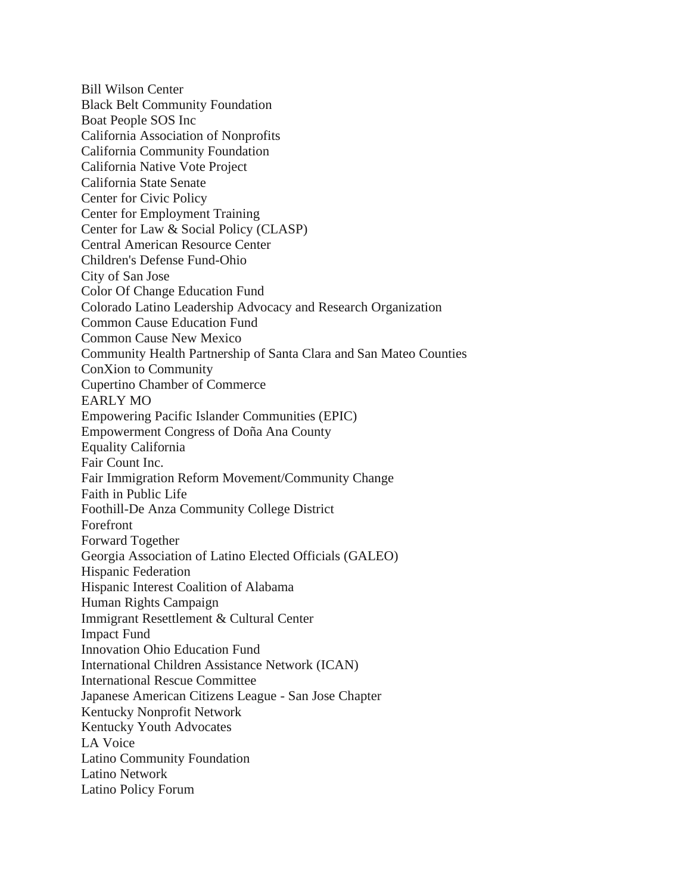Bill Wilson Center Black Belt Community Foundation Boat People SOS Inc California Association of Nonprofits California Community Foundation California Native Vote Project California State Senate Center for Civic Policy Center for Employment Training Center for Law & Social Policy (CLASP) Central American Resource Center Children's Defense Fund-Ohio City of San Jose Color Of Change Education Fund Colorado Latino Leadership Advocacy and Research Organization Common Cause Education Fund Common Cause New Mexico Community Health Partnership of Santa Clara and San Mateo Counties ConXion to Community Cupertino Chamber of Commerce EARLY MO Empowering Pacific Islander Communities (EPIC) Empowerment Congress of Doña Ana County Equality California Fair Count Inc. Fair Immigration Reform Movement/Community Change Faith in Public Life Foothill-De Anza Community College District Forefront Forward Together Georgia Association of Latino Elected Officials (GALEO) Hispanic Federation Hispanic Interest Coalition of Alabama Human Rights Campaign Immigrant Resettlement & Cultural Center Impact Fund Innovation Ohio Education Fund International Children Assistance Network (ICAN) International Rescue Committee Japanese American Citizens League - San Jose Chapter Kentucky Nonprofit Network Kentucky Youth Advocates LA Voice Latino Community Foundation Latino Network Latino Policy Forum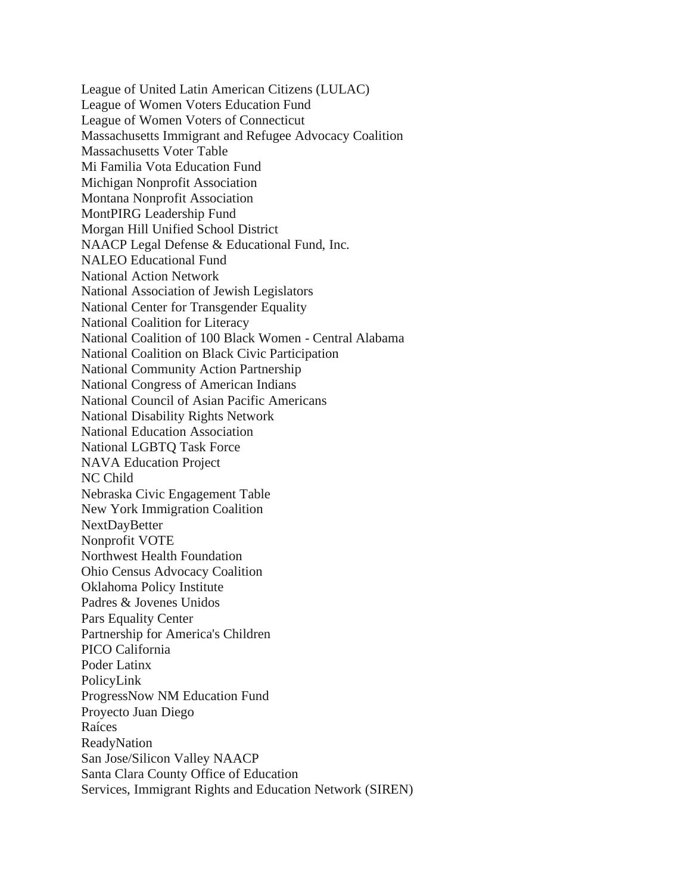League of United Latin American Citizens (LULAC) League of Women Voters Education Fund League of Women Voters of Connecticut Massachusetts Immigrant and Refugee Advocacy Coalition Massachusetts Voter Table Mi Familia Vota Education Fund Michigan Nonprofit Association Montana Nonprofit Association MontPIRG Leadership Fund Morgan Hill Unified School District NAACP Legal Defense & Educational Fund, Inc. NALEO Educational Fund National Action Network National Association of Jewish Legislators National Center for Transgender Equality National Coalition for Literacy National Coalition of 100 Black Women - Central Alabama National Coalition on Black Civic Participation National Community Action Partnership National Congress of American Indians National Council of Asian Pacific Americans National Disability Rights Network National Education Association National LGBTQ Task Force NAVA Education Project NC Child Nebraska Civic Engagement Table New York Immigration Coalition NextDayBetter Nonprofit VOTE Northwest Health Foundation Ohio Census Advocacy Coalition Oklahoma Policy Institute Padres & Jovenes Unidos Pars Equality Center Partnership for America's Children PICO California Poder Latinx PolicyLink ProgressNow NM Education Fund Proyecto Juan Diego Raíces ReadyNation San Jose/Silicon Valley NAACP Santa Clara County Office of Education Services, Immigrant Rights and Education Network (SIREN)